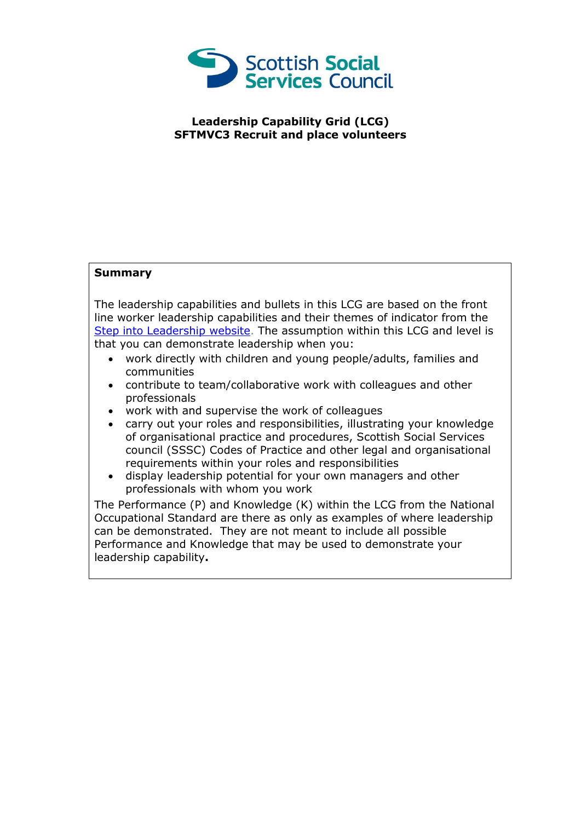

## **Leadership Capability Grid (LCG) SFTMVC3 Recruit and place volunteers**

## **Summary**

The leadership capabilities and bullets in this LCG are based on the front line worker leadership capabilities and their themes of indicator from the [Step into Leadership website.](http://www.stepintoleadership.info/) The assumption within this LCG and level is that you can demonstrate leadership when you:

- work directly with children and young people/adults, families and communities
- contribute to team/collaborative work with colleagues and other professionals
- work with and supervise the work of colleagues
- carry out your roles and responsibilities, illustrating your knowledge of organisational practice and procedures, Scottish Social Services council (SSSC) Codes of Practice and other legal and organisational requirements within your roles and responsibilities
- display leadership potential for your own managers and other professionals with whom you work

The Performance (P) and Knowledge (K) within the LCG from the National Occupational Standard are there as only as examples of where leadership can be demonstrated. They are not meant to include all possible Performance and Knowledge that may be used to demonstrate your leadership capability**.**